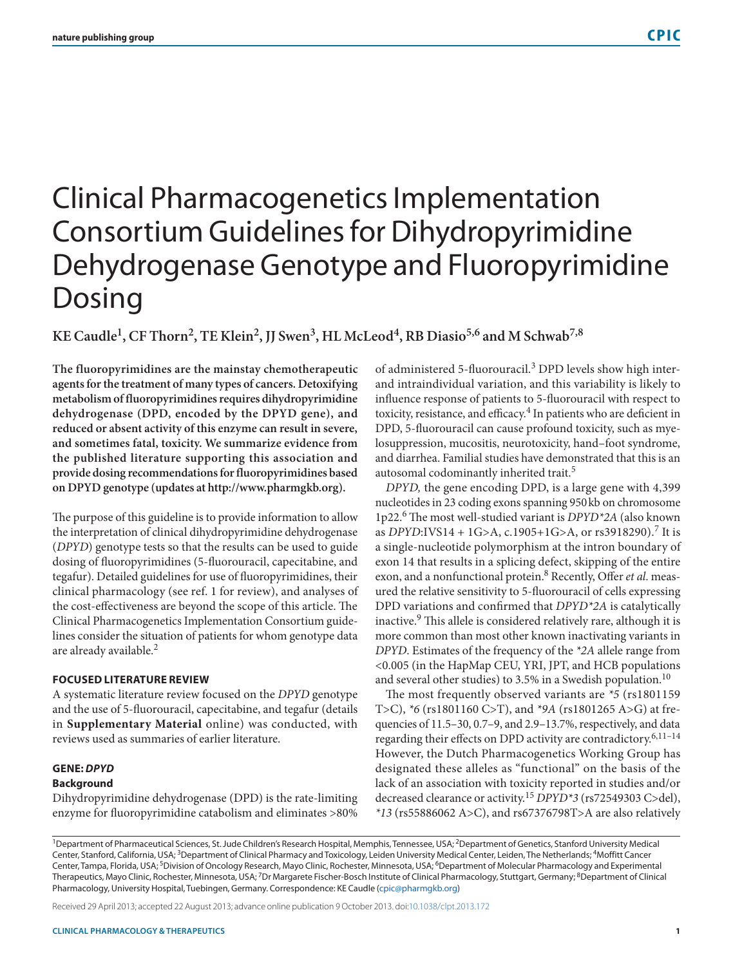# Clinical Pharmacogenetics Implementation Consortium Guidelines for Dihydropyrimidine Dehydrogenase Genotype and Fluoropyrimidine Dosing

KE Caudle<sup>1</sup>, CF Thorn<sup>2</sup>, TE Klein<sup>2</sup>, JJ Swen<sup>3</sup>, HL McLeod<sup>4</sup>, RB Diasio<sup>5,6</sup> and M Schwab<sup>7,8</sup>

**The fluoropyrimidines are the mainstay chemotherapeutic agents for the treatment of many types of cancers. Detoxifying metabolism of fluoropyrimidines requires dihydropyrimidine dehydrogenase (DPD, encoded by the DPYD gene), and reduced or absent activity of this enzyme can result in severe, and sometimes fatal, toxicity. We summarize evidence from the published literature supporting this association and provide dosing recommendations for fluoropyrimidines based on DPYD genotype (updates at<http://www.pharmgkb.org>).**

The purpose of this guideline is to provide information to allow the interpretation of clinical dihydropyrimidine dehydrogenase (*DPYD*) genotype tests so that the results can be used to guide dosing of fluoropyrimidines (5-fluorouracil, capecitabine, and tegafur). Detailed guidelines for use of fluoropyrimidines, their clinical pharmacology (see ref. 1 for review), and analyses of the cost-effectiveness are beyond the scope of this article. The Clinical Pharmacogenetics Implementation Consortium guidelines consider the situation of patients for whom genotype data are already available.<sup>2</sup>

## **FOCUSED LITERATURE REVIEW**

A systematic literature review focused on the *DPYD* genotype and the use of 5-fluorouracil, capecitabine, and tegafur (details in **Supplementary Material** online) was conducted, with reviews used as summaries of earlier literature.

## **GENE:** *DPYD*

## **Background**

Dihydropyrimidine dehydrogenase (DPD) is the rate-limiting enzyme for fluoropyrimidine catabolism and eliminates >80% of administered 5-fluorouracil.3 DPD levels show high interand intraindividual variation, and this variability is likely to influence response of patients to 5-fluorouracil with respect to toxicity, resistance, and efficacy.<sup>4</sup> In patients who are deficient in DPD, 5-fluorouracil can cause profound toxicity, such as myelosuppression, mucositis, neurotoxicity, hand–foot syndrome, and diarrhea. Familial studies have demonstrated that this is an autosomal codominantly inherited trait.<sup>5</sup>

*DPYD,* the gene encoding DPD, is a large gene with 4,399 nucleotides in 23 coding exons spanning 950kb on chromosome 1p22.6 The most well-studied variant is *DPYD\*2A* (also known as *DPYD*:IVS14 + 1G>A, c.1905+1G>A, or rs3918290).<sup>7</sup> It is a single-nucleotide polymorphism at the intron boundary of exon 14 that results in a splicing defect, skipping of the entire exon, and a nonfunctional protein.8 Recently, Offer *et al*. measured the relative sensitivity to 5-fluorouracil of cells expressing DPD variations and confirmed that *DPYD\*2A* is catalytically inactive.9 This allele is considered relatively rare, although it is more common than most other known inactivating variants in *DPYD*. Estimates of the frequency of the *\*2A* allele range from <0.005 (in the HapMap CEU, YRI, JPT, and HCB populations and several other studies) to 3.5% in a Swedish population.<sup>10</sup>

The most frequently observed variants are *\*5* (rs1801159 T>C), *\*6* (rs1801160 C>T), and *\*9A* (rs1801265 A>G) at frequencies of 11.5–30, 0.7–9, and 2.9–13.7%, respectively, and data regarding their effects on DPD activity are contradictory.<sup>6,11-14</sup> However, the Dutch Pharmacogenetics Working Group has designated these alleles as "functional" on the basis of the lack of an association with toxicity reported in studies and/or decreased clearance or activity.<sup>15</sup> *DPYD\*3* (rs72549303 C>del), *\*13* (rs55886062 A>C), and rs67376798T>A are also relatively

<sup>1</sup>Department of Pharmaceutical Sciences, St. Jude Children's Research Hospital, Memphis, Tennessee, USA; <sup>2</sup>Department of Genetics, Stanford University Medical Center, Stanford, California, USA; 3Department of Clinical Pharmacy and Toxicology, Leiden University Medical Center, Leiden, The Netherlands; 4Moffitt Cancer Center, Tampa, Florida, USA; <sup>5</sup>Division of Oncology Research, Mayo Clinic, Rochester, Minnesota, USA; <sup>6</sup>Department of Molecular Pharmacology and Experimental Therapeutics, Mayo Clinic, Rochester, Minnesota, USA; <sup>7</sup>Dr Margarete Fischer-Bosch Institute of Clinical Pharmacology, Stuttgart, Germany; <sup>8</sup>Department of Clinical Pharmacology, University Hospital, Tuebingen, Germany. Correspondence: KE Caudle [\(cpic@pharmgkb.org\)](mailto:cpic@pharmgkb.org)

Received 29 April 2013; accepted 22 August 2013; advance online publication 9 October 2013. doi[:10.1038/clpt.2013.172](http://www.nature.com/doifinder/10.1038/clpt.2013.172)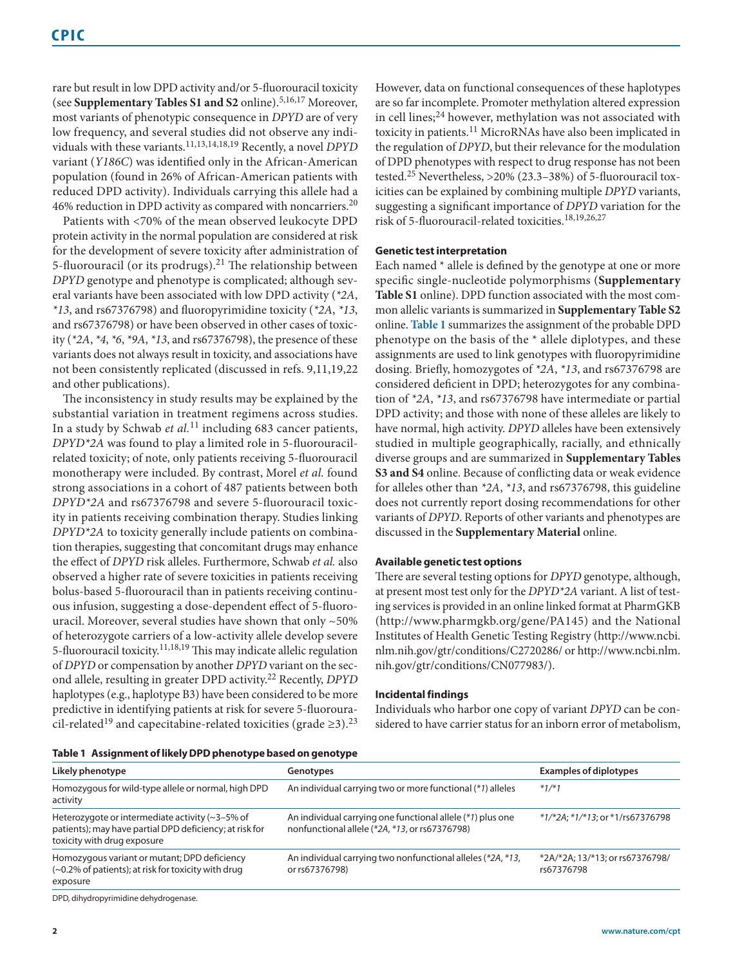rare but result in low DPD activity and/or 5-fluorouracil toxicity (see **Supplementary Tables S1 and S2** online).5,16,17 Moreover, most variants of phenotypic consequence in *DPYD* are of very low frequency, and several studies did not observe any individuals with these variants.11,13,14,18,19 Recently, a novel *DPYD* variant (*Y186C*) was identified only in the African-American population (found in 26% of African-American patients with reduced DPD activity). Individuals carrying this allele had a 46% reduction in DPD activity as compared with noncarriers.<sup>20</sup>

Patients with <70% of the mean observed leukocyte DPD protein activity in the normal population are considered at risk for the development of severe toxicity after administration of 5-fluorouracil (or its prodrugs). $^{21}$  The relationship between *DPYD* genotype and phenotype is complicated; although several variants have been associated with low DPD activity (*\*2A*, *\*13*, and rs67376798) and fluoropyrimidine toxicity (*\*2A*, *\*13*, and rs67376798) or have been observed in other cases of toxicity (*\*2A*, *\*4*, *\*6*, *\*9A*, *\*13*, and rs67376798), the presence of these variants does not always result in toxicity, and associations have not been consistently replicated (discussed in refs. 9,11,19,22 and other publications).

The inconsistency in study results may be explained by the substantial variation in treatment regimens across studies. In a study by Schwab *et al.*11 including 683 cancer patients, *DPYD\*2A* was found to play a limited role in 5-fluorouracilrelated toxicity; of note, only patients receiving 5-fluorouracil monotherapy were included. By contrast, Morel *et al.* found strong associations in a cohort of 487 patients between both *DPYD\*2A* and rs67376798 and severe 5-fluorouracil toxicity in patients receiving combination therapy. Studies linking *DPYD\*2A* to toxicity generally include patients on combination therapies, suggesting that concomitant drugs may enhance the effect of *DPYD* risk alleles. Furthermore, Schwab *et al.* also observed a higher rate of severe toxicities in patients receiving bolus-based 5-fluorouracil than in patients receiving continuous infusion, suggesting a dose-dependent effect of 5-fluorouracil. Moreover, several studies have shown that only ~50% of heterozygote carriers of a low-activity allele develop severe 5-fluorouracil toxicity.11,18,19 This may indicate allelic regulation of *DPYD* or compensation by another *DPYD* variant on the second allele, resulting in greater DPD activity.22 Recently, *DPYD* haplotypes (e.g., haplotype B3) have been considered to be more predictive in identifying patients at risk for severe 5-fluorouracil-related<sup>19</sup> and capecitabine-related toxicities (grade ≥3).<sup>23</sup> However, data on functional consequences of these haplotypes are so far incomplete. Promoter methylation altered expression in cell lines; $^{24}$  however, methylation was not associated with toxicity in patients.11 MicroRNAs have also been implicated in the regulation of *DPYD*, but their relevance for the modulation of DPD phenotypes with respect to drug response has not been tested.<sup>25</sup> Nevertheless, >20% (23.3–38%) of 5-fluorouracil toxicities can be explained by combining multiple *DPYD* variants, suggesting a significant importance of *DPYD* variation for the risk of 5-fluorouracil-related toxicities.18,19,26,27

### **Genetic test interpretation**

Each named \* allele is defined by the genotype at one or more specific single-nucleotide polymorphisms (**Supplementary Table S1** online). DPD function associated with the most common allelic variants is summarized in **Supplementary Table S2** online. **[Table 1](#page-1-0)** summarizes the assignment of the probable DPD phenotype on the basis of the \* allele diplotypes, and these assignments are used to link genotypes with fluoropyrimidine dosing. Briefly, homozygotes of *\*2A*, *\*13*, and rs67376798 are considered deficient in DPD; heterozygotes for any combination of *\*2A*, *\*13*, and rs67376798 have intermediate or partial DPD activity; and those with none of these alleles are likely to have normal, high activity. *DPYD* alleles have been extensively studied in multiple geographically, racially, and ethnically diverse groups and are summarized in **Supplementary Tables S3 and S4** online. Because of conflicting data or weak evidence for alleles other than *\*2A*, *\*13*, and rs67376798, this guideline does not currently report dosing recommendations for other variants of *DPYD*. Reports of other variants and phenotypes are discussed in the **Supplementary Material** online.

### **Available genetic test options**

There are several testing options for *DPYD* genotype, although, at present most test only for the *DPYD\*2A* variant. A list of testing services is provided in an online linked format at PharmGKB (<http://www.pharmgkb.org/gene/PA145>) and the National Institutes of Health Genetic Testing Registry [\(http://www.ncbi.](http://www.ncbi.nlm.nih.gov/gtr/conditions/C2720286/) [nlm.nih.gov/gtr/conditions/C2720286/](http://www.ncbi.nlm.nih.gov/gtr/conditions/C2720286/) or [http://www.ncbi.nlm.](http://www.ncbi.nlm.nih.gov/gtr/conditions/CN077983/) [nih.gov/gtr/conditions/CN077983/\)](http://www.ncbi.nlm.nih.gov/gtr/conditions/CN077983/).

### **Incidental findings**

Individuals who harbor one copy of variant *DPYD* can be considered to have carrier status for an inborn error of metabolism,

<span id="page-1-0"></span>

| Table 1 Assignment of likely DPD phenotype based on genotype |  |  |
|--------------------------------------------------------------|--|--|
|                                                              |  |  |

| Likely phenotype                                                                                                                                    | Genotypes                                                                                                    | <b>Examples of diplotypes</b>                 |
|-----------------------------------------------------------------------------------------------------------------------------------------------------|--------------------------------------------------------------------------------------------------------------|-----------------------------------------------|
| Homozygous for wild-type allele or normal, high DPD<br>activity                                                                                     | An individual carrying two or more functional (*1) alleles                                                   | $*1/*1$                                       |
| Heterozygote or intermediate activity ( $\approx$ 3–5% of<br>patients); may have partial DPD deficiency; at risk for<br>toxicity with drug exposure | An individual carrying one functional allele (*1) plus one<br>nonfunctional allele (*2A, *13, or rs67376798) | *1/*2A; *1/*13; or *1/rs67376798              |
| Homozygous variant or mutant; DPD deficiency<br>(~0.2% of patients); at risk for toxicity with drug<br>exposure                                     | An individual carrying two nonfunctional alleles (*2A, *13,<br>or rs67376798)                                | *2A/*2A; 13/*13; or rs67376798/<br>rs67376798 |

DPD, dihydropyrimidine dehydrogenase.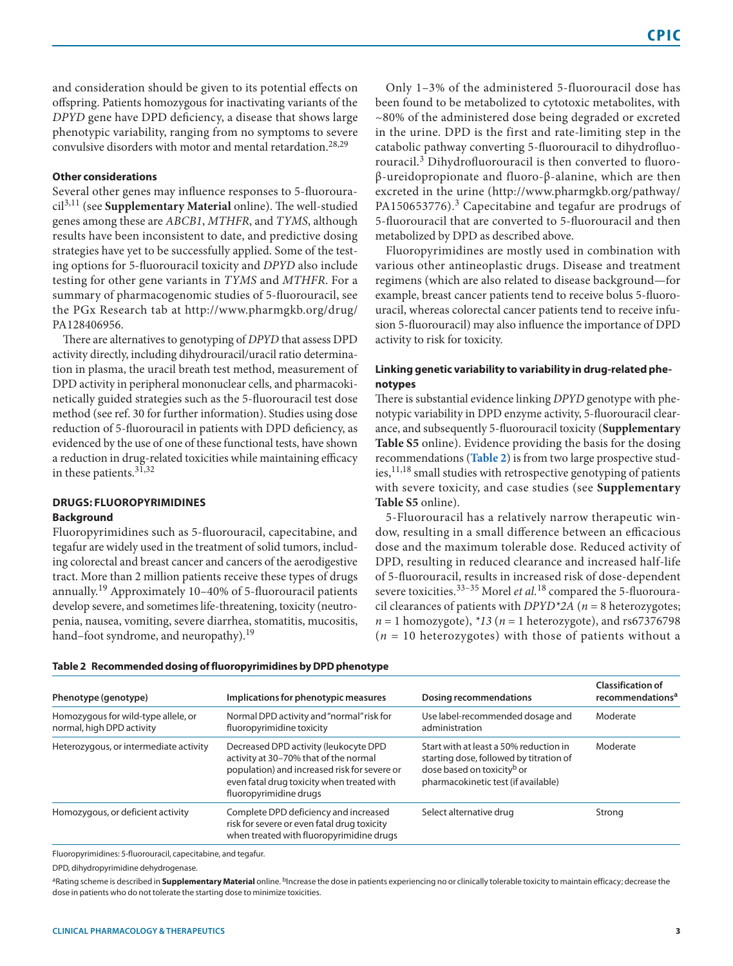and consideration should be given to its potential effects on offspring. Patients homozygous for inactivating variants of the *DPYD* gene have DPD deficiency, a disease that shows large phenotypic variability, ranging from no symptoms to severe convulsive disorders with motor and mental retardation.28,29

## **Other considerations**

Several other genes may influence responses to 5-fluorouracil3,11 (see **Supplementary Material** online). The well-studied genes among these are *ABCB1*, *MTHFR*, and *TYMS*, although results have been inconsistent to date, and predictive dosing strategies have yet to be successfully applied. Some of the testing options for 5-fluorouracil toxicity and *DPYD* also include testing for other gene variants in *TYMS* and *MTHFR*. For a summary of pharmacogenomic studies of 5-fluorouracil, see the PGx Research tab at [http://www.pharmgkb.org/drug/](http://www.pharmgkb.org/drug/PA128406956) [PA128406956.](http://www.pharmgkb.org/drug/PA128406956)

There are alternatives to genotyping of *DPYD* that assess DPD activity directly, including dihydrouracil/uracil ratio determination in plasma, the uracil breath test method, measurement of DPD activity in peripheral mononuclear cells, and pharmacokinetically guided strategies such as the 5-fluorouracil test dose method (see ref. 30 for further information). Studies using dose reduction of 5-fluorouracil in patients with DPD deficiency, as evidenced by the use of one of these functional tests, have shown a reduction in drug-related toxicities while maintaining efficacy in these patients.31,32

## **DRUGS: FLUOROPYRIMIDINES Background**

Fluoropyrimidines such as 5-fluorouracil, capecitabine, and tegafur are widely used in the treatment of solid tumors, including colorectal and breast cancer and cancers of the aerodigestive tract. More than 2 million patients receive these types of drugs annually.19 Approximately 10–40% of 5-fluorouracil patients develop severe, and sometimes life-threatening, toxicity (neutropenia, nausea, vomiting, severe diarrhea, stomatitis, mucositis, hand–foot syndrome, and neuropathy).<sup>19</sup>

Only 1–3% of the administered 5-fluorouracil dose has been found to be metabolized to cytotoxic metabolites, with ~80% of the administered dose being degraded or excreted in the urine. DPD is the first and rate-limiting step in the catabolic pathway converting 5-fluorouracil to dihydrofluorouracil.3 Dihydrofluorouracil is then converted to fluoroβ-ureidopropionate and fluoro-β-alanine, which are then excreted in the urine ([http://www.pharmgkb.org/pathway/](http://www.pharmgkb.org/pathway/PA150653776) [PA150653776](http://www.pharmgkb.org/pathway/PA150653776)). $3$  Capecitabine and tegafur are prodrugs of 5-fluorouracil that are converted to 5-fluorouracil and then metabolized by DPD as described above.

Fluoropyrimidines are mostly used in combination with various other antineoplastic drugs. Disease and treatment regimens (which are also related to disease background—for example, breast cancer patients tend to receive bolus 5-fluorouracil, whereas colorectal cancer patients tend to receive infusion 5-fluorouracil) may also influence the importance of DPD activity to risk for toxicity.

# **Linking genetic variability to variability in drug-related phenotypes**

There is substantial evidence linking *DPYD* genotype with phenotypic variability in DPD enzyme activity, 5-fluorouracil clearance, and subsequently 5-fluorouracil toxicity (**Supplementary Table S5** online). Evidence providing the basis for the dosing recommendations (**[Table 2](#page-2-0)**) is from two large prospective studies, $^{11,18}$  small studies with retrospective genotyping of patients with severe toxicity, and case studies (see **Supplementary Table S5** online).

5-Fluorouracil has a relatively narrow therapeutic window, resulting in a small difference between an efficacious dose and the maximum tolerable dose. Reduced activity of DPD, resulting in reduced clearance and increased half-life of 5-fluorouracil, results in increased risk of dose-dependent severe toxicities.<sup>33-35</sup> Morel *et al.*<sup>18</sup> compared the 5-fluorouracil clearances of patients with *DPYD\*2A* (*n* = 8 heterozygotes;  $n = 1$  homozygote),  $*13$  ( $n = 1$  heterozygote), and rs67376798 (*n* = 10 heterozygotes) with those of patients without a

| Phenotype (genotype)                                             | Implications for phenotypic measures                                                                                                                                                                   | <b>Dosing recommendations</b>                                                                                                                                      | <b>Classification of</b><br>recommendations <sup>a</sup> |  |
|------------------------------------------------------------------|--------------------------------------------------------------------------------------------------------------------------------------------------------------------------------------------------------|--------------------------------------------------------------------------------------------------------------------------------------------------------------------|----------------------------------------------------------|--|
| Homozygous for wild-type allele, or<br>normal, high DPD activity | Normal DPD activity and "normal" risk for<br>fluoropyrimidine toxicity                                                                                                                                 | Use label-recommended dosage and<br>administration                                                                                                                 | Moderate                                                 |  |
| Heterozygous, or intermediate activity                           | Decreased DPD activity (leukocyte DPD<br>activity at 30-70% that of the normal<br>population) and increased risk for severe or<br>even fatal drug toxicity when treated with<br>fluoropyrimidine drugs | Start with at least a 50% reduction in<br>starting dose, followed by titration of<br>dose based on toxicity <sup>b</sup> or<br>pharmacokinetic test (if available) | Moderate                                                 |  |
| Homozygous, or deficient activity                                | Complete DPD deficiency and increased<br>risk for severe or even fatal drug toxicity<br>when treated with fluoropyrimidine drugs                                                                       | Select alternative drug                                                                                                                                            | Strong                                                   |  |

## <span id="page-2-0"></span>**Table 2 Recommended dosing of fluoropyrimidines by DPD phenotype**

Fluoropyrimidines: 5-fluorouracil, capecitabine, and tegafur.

DPD, dihydropyrimidine dehydrogenase.

aRating scheme is described in Supplementary Material online. <sup>b</sup>Increase the dose in patients experiencing no or clinically tolerable toxicity to maintain efficacy; decrease the dose in patients who do not tolerate the starting dose to minimize toxicities.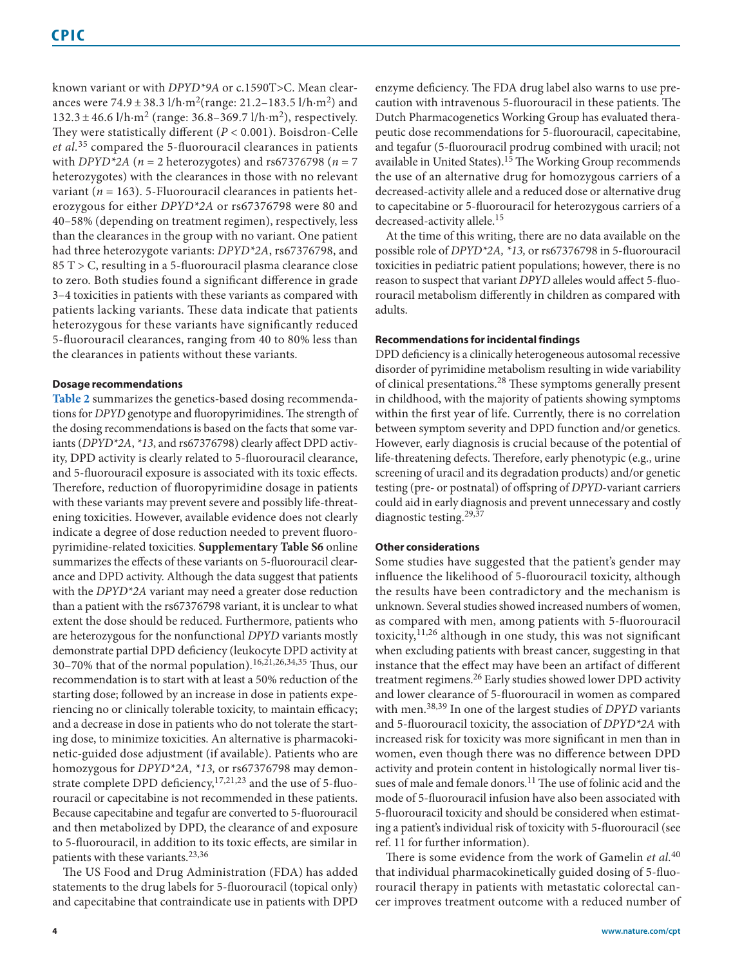known variant or with *DPYD\*9A* or c.1590T>C. Mean clearances were  $74.9 \pm 38.3$  l/h·m<sup>2</sup>(range: 21.2–183.5 l/h·m<sup>2</sup>) and  $132.3 \pm 46.6$  l/h·m<sup>2</sup> (range: 36.8–369.7 l/h·m<sup>2</sup>), respectively. They were statistically different (*P* < 0.001). Boisdron-Celle *et al.*35 compared the 5-fluorouracil clearances in patients with *DPYD\*2A* (*n* = 2 heterozygotes) and rs67376798 (*n* = 7 heterozygotes) with the clearances in those with no relevant variant ( $n = 163$ ). 5-Fluorouracil clearances in patients heterozygous for either *DPYD\*2A* or rs67376798 were 80 and 40–58% (depending on treatment regimen), respectively, less than the clearances in the group with no variant. One patient had three heterozygote variants: *DPYD\*2A*, rs67376798, and 85 T > C, resulting in a 5-fluorouracil plasma clearance close to zero. Both studies found a significant difference in grade 3–4 toxicities in patients with these variants as compared with patients lacking variants. These data indicate that patients heterozygous for these variants have significantly reduced 5-fluorouracil clearances, ranging from 40 to 80% less than the clearances in patients without these variants.

## **Dosage recommendations**

**[Table 2](#page-2-0)** summarizes the genetics-based dosing recommendations for *DPYD* genotype and fluoropyrimidines. The strength of the dosing recommendations is based on the facts that some variants (*DPYD\*2A*, *\*13*, and rs67376798) clearly affect DPD activity, DPD activity is clearly related to 5-fluorouracil clearance, and 5-fluorouracil exposure is associated with its toxic effects. Therefore, reduction of fluoropyrimidine dosage in patients with these variants may prevent severe and possibly life-threatening toxicities. However, available evidence does not clearly indicate a degree of dose reduction needed to prevent fluoropyrimidine-related toxicities. **Supplementary Table S6** online summarizes the effects of these variants on 5-fluorouracil clearance and DPD activity. Although the data suggest that patients with the *DPYD\*2A* variant may need a greater dose reduction than a patient with the rs67376798 variant, it is unclear to what extent the dose should be reduced. Furthermore, patients who are heterozygous for the nonfunctional *DPYD* variants mostly demonstrate partial DPD deficiency (leukocyte DPD activity at 30–70% that of the normal population).16,21,26,34,35 Thus, our recommendation is to start with at least a 50% reduction of the starting dose; followed by an increase in dose in patients experiencing no or clinically tolerable toxicity, to maintain efficacy; and a decrease in dose in patients who do not tolerate the starting dose, to minimize toxicities. An alternative is pharmacokinetic-guided dose adjustment (if available). Patients who are homozygous for *DPYD\*2A, \*13,* or rs67376798 may demonstrate complete DPD deficiency, $17,21,23$  and the use of 5-fluorouracil or capecitabine is not recommended in these patients. Because capecitabine and tegafur are converted to 5-fluorouracil and then metabolized by DPD, the clearance of and exposure to 5-fluorouracil, in addition to its toxic effects, are similar in patients with these variants.<sup>23,36</sup>

The US Food and Drug Administration (FDA) has added statements to the drug labels for 5-fluorouracil (topical only) and capecitabine that contraindicate use in patients with DPD

enzyme deficiency. The FDA drug label also warns to use precaution with intravenous 5-fluorouracil in these patients. The Dutch Pharmacogenetics Working Group has evaluated therapeutic dose recommendations for 5-fluorouracil, capecitabine, and tegafur (5-fluorouracil prodrug combined with uracil; not available in United States).<sup>15</sup> The Working Group recommends the use of an alternative drug for homozygous carriers of a decreased-activity allele and a reduced dose or alternative drug to capecitabine or 5-fluorouracil for heterozygous carriers of a decreased-activity allele.<sup>15</sup>

At the time of this writing, there are no data available on the possible role of *DPYD\*2A, \*13,* or rs67376798 in 5-fluorouracil toxicities in pediatric patient populations; however, there is no reason to suspect that variant *DPYD* alleles would affect 5-fluorouracil metabolism differently in children as compared with adults.

## **Recommendations for incidental findings**

DPD deficiency is a clinically heterogeneous autosomal recessive disorder of pyrimidine metabolism resulting in wide variability of clinical presentations.28 These symptoms generally present in childhood, with the majority of patients showing symptoms within the first year of life. Currently, there is no correlation between symptom severity and DPD function and/or genetics. However, early diagnosis is crucial because of the potential of life-threatening defects. Therefore, early phenotypic (e.g., urine screening of uracil and its degradation products) and/or genetic testing (pre- or postnatal) of offspring of *DPYD-*variant carriers could aid in early diagnosis and prevent unnecessary and costly diagnostic testing.<sup>29,37</sup>

## **Other considerations**

Some studies have suggested that the patient's gender may influence the likelihood of 5-fluorouracil toxicity, although the results have been contradictory and the mechanism is unknown. Several studies showed increased numbers of women, as compared with men, among patients with 5-fluorouracil toxicity,11,26 although in one study, this was not significant when excluding patients with breast cancer, suggesting in that instance that the effect may have been an artifact of different treatment regimens.<sup>26</sup> Early studies showed lower DPD activity and lower clearance of 5-fluorouracil in women as compared with men.38,39 In one of the largest studies of *DPYD* variants and 5-fluorouracil toxicity, the association of *DPYD\*2A* with increased risk for toxicity was more significant in men than in women, even though there was no difference between DPD activity and protein content in histologically normal liver tissues of male and female donors.<sup>11</sup> The use of folinic acid and the mode of 5-fluorouracil infusion have also been associated with 5-fluorouracil toxicity and should be considered when estimating a patient's individual risk of toxicity with 5-fluorouracil (see ref. 11 for further information).

There is some evidence from the work of Gamelin *et al.*<sup>40</sup> that individual pharmacokinetically guided dosing of 5-fluorouracil therapy in patients with metastatic colorectal cancer improves treatment outcome with a reduced number of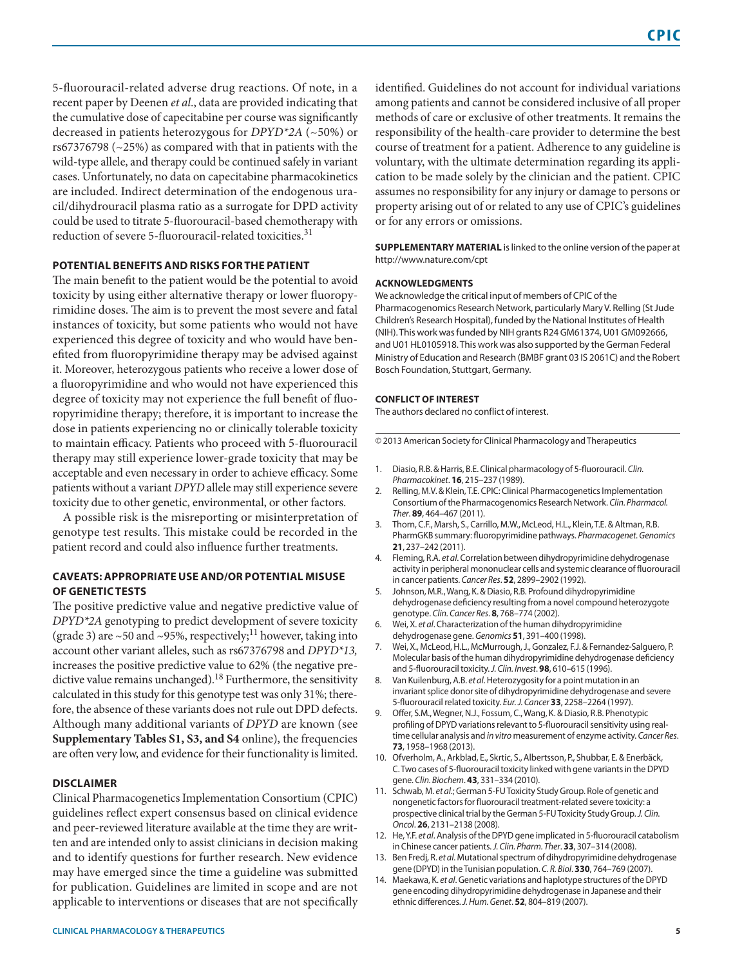5-fluorouracil-related adverse drug reactions. Of note, in a recent paper by Deenen *et al*., data are provided indicating that the cumulative dose of capecitabine per course was significantly decreased in patients heterozygous for *DPYD\*2A* (~50%) or rs67376798 (~25%) as compared with that in patients with the wild-type allele, and therapy could be continued safely in variant cases. Unfortunately, no data on capecitabine pharmacokinetics are included. Indirect determination of the endogenous uracil/dihydrouracil plasma ratio as a surrogate for DPD activity could be used to titrate 5-fluorouracil-based chemotherapy with reduction of severe 5-fluorouracil-related toxicities.<sup>31</sup>

## **POTENTIAL BENEFITS AND RISKS FOR THE PATIENT**

The main benefit to the patient would be the potential to avoid toxicity by using either alternative therapy or lower fluoropyrimidine doses. The aim is to prevent the most severe and fatal instances of toxicity, but some patients who would not have experienced this degree of toxicity and who would have benefited from fluoropyrimidine therapy may be advised against it. Moreover, heterozygous patients who receive a lower dose of a fluoropyrimidine and who would not have experienced this degree of toxicity may not experience the full benefit of fluoropyrimidine therapy; therefore, it is important to increase the dose in patients experiencing no or clinically tolerable toxicity to maintain efficacy. Patients who proceed with 5-fluorouracil therapy may still experience lower-grade toxicity that may be acceptable and even necessary in order to achieve efficacy. Some patients without a variant *DPYD* allele may still experience severe toxicity due to other genetic, environmental, or other factors.

A possible risk is the misreporting or misinterpretation of genotype test results. This mistake could be recorded in the patient record and could also influence further treatments.

## **CAVEATS: APPROPRIATE USE AND/OR POTENTIAL MISUSE OF GENETIC TESTS**

The positive predictive value and negative predictive value of *DPYD\*2A* genotyping to predict development of severe toxicity (grade 3) are  $\sim$  50 and  $\sim$  95%, respectively;<sup>11</sup> however, taking into account other variant alleles, such as rs67376798 and *DPYD\*13,* increases the positive predictive value to 62% (the negative predictive value remains unchanged).<sup>18</sup> Furthermore, the sensitivity calculated in this study for this genotype test was only 31%; therefore, the absence of these variants does not rule out DPD defects. Although many additional variants of *DPYD* are known (see **Supplementary Tables S1, S3, and S4** online), the frequencies are often very low, and evidence for their functionality is limited.

## **DISCLAIMER**

Clinical Pharmacogenetics Implementation Consortium (CPIC) guidelines reflect expert consensus based on clinical evidence and peer-reviewed literature available at the time they are written and are intended only to assist clinicians in decision making and to identify questions for further research. New evidence may have emerged since the time a guideline was submitted for publication. Guidelines are limited in scope and are not applicable to interventions or diseases that are not specifically identified. Guidelines do not account for individual variations among patients and cannot be considered inclusive of all proper methods of care or exclusive of other treatments. It remains the responsibility of the health-care provider to determine the best course of treatment for a patient. Adherence to any guideline is voluntary, with the ultimate determination regarding its application to be made solely by the clinician and the patient. CPIC assumes no responsibility for any injury or damage to persons or property arising out of or related to any use of CPIC's guidelines or for any errors or omissions.

**SUPPLEMENTARY MATERIAL** is linked to the online version of the paper at <http://www.nature.com/cpt>

#### **ACKNOWLEDGMENTS**

We acknowledge the critical input of members of CPIC of the Pharmacogenomics Research Network, particularly Mary V. Relling (St Jude Children's Research Hospital), funded by the National Institutes of Health (NIH). This work was funded by NIH grants R24 GM61374, U01 GM092666, and U01 HL0105918. This work was also supported by the German Federal Ministry of Education and Research (BMBF grant 03 IS 2061C) and the Robert Bosch Foundation, Stuttgart, Germany.

#### **CONFLICT OF INTEREST**

The authors declared no conflict of interest.

© 2013 American Society for Clinical Pharmacology and Therapeutics

- 1. Diasio, R.B. & Harris, B.E. Clinical pharmacology of 5-fluorouracil. *Clin. Pharmacokinet*. **16**, 215–237 (1989).
- 2. Relling, M.V. & Klein, T.E. CPIC: Clinical Pharmacogenetics Implementation Consortium of the Pharmacogenomics Research Network. *Clin. Pharmacol. Ther*. **89**, 464–467 (2011).
- 3. Thorn, C.F., Marsh, S., Carrillo, M.W., McLeod, H.L., Klein, T.E. & Altman, R.B. PharmGKB summary: fluoropyrimidine pathways. *Pharmacogenet. Genomics* **21**, 237–242 (2011).
- 4. Fleming, R.A. *et al*. Correlation between dihydropyrimidine dehydrogenase activity in peripheral mononuclear cells and systemic clearance of fluorouracil in cancer patients. *Cancer Res*. **52**, 2899–2902 (1992).
- 5. Johnson, M.R., Wang, K. & Diasio, R.B. Profound dihydropyrimidine dehydrogenase deficiency resulting from a novel compound heterozygote genotype. *Clin. Cancer Res*. **8**, 768–774 (2002).
- 6. Wei, X. *et al*. Characterization of the human dihydropyrimidine dehydrogenase gene. *Genomics* **51**, 391–400 (1998).
- 7. Wei, X., McLeod, H.L., McMurrough, J., Gonzalez, F.J. & Fernandez-Salguero, P. Molecular basis of the human dihydropyrimidine dehydrogenase deficiency and 5-fluorouracil toxicity. *J. Clin. Invest*. **98**, 610–615 (1996).
- 8. Van Kuilenburg, A.B. *et al*. Heterozygosity for a point mutation in an invariant splice donor site of dihydropyrimidine dehydrogenase and severe 5-fluorouracil related toxicity. *Eur. J. Cancer* **33**, 2258–2264 (1997).
- Offer, S.M., Wegner, N.J., Fossum, C., Wang, K. & Diasio, R.B. Phenotypic profiling of DPYD variations relevant to 5-fluorouracil sensitivity using realtime cellular analysis and *in vitro* measurement of enzyme activity. *Cancer Res*. **73**, 1958–1968 (2013).
- 10. Ofverholm, A., Arkblad, E., Skrtic, S., Albertsson, P., Shubbar, E. & Enerbäck, C. Two cases of 5-fluorouracil toxicity linked with gene variants in the DPYD gene. *Clin. Biochem*. **43**, 331–334 (2010).
- 11. Schwab, M. *et al*.; German 5-FU Toxicity Study Group. Role of genetic and nongenetic factors for fluorouracil treatment-related severe toxicity: a prospective clinical trial by the German 5-FU Toxicity Study Group. *J. Clin. Oncol*. **26**, 2131–2138 (2008).
- 12. He, Y.F. *et al*. Analysis of the DPYD gene implicated in 5-fluorouracil catabolism in Chinese cancer patients. *J. Clin. Pharm. Ther*. **33**, 307–314 (2008).
- 13. Ben Fredj, R. *et al*. Mutational spectrum of dihydropyrimidine dehydrogenase gene (DPYD) in the Tunisian population. *C. R. Biol*. **330**, 764–769 (2007).
- 14. Maekawa, K. *et al*. Genetic variations and haplotype structures of the DPYD gene encoding dihydropyrimidine dehydrogenase in Japanese and their ethnic differences. *J. Hum. Genet*. **52**, 804–819 (2007).